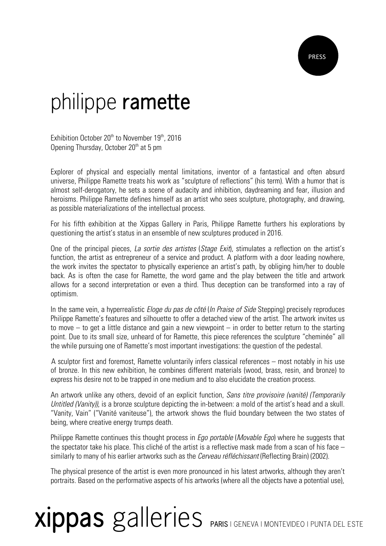## philippe **ramette**

Exhibition October 20<sup>th</sup> to November 19<sup>th</sup>, 2016 Opening Thursday, October 20<sup>th</sup> at 5 pm

Explorer of physical and especially mental limitations, inventor of a fantastical and often absurd universe, Philippe Ramette treats his work as "sculpture of reflections" (his term). With a humor that is almost self-derogatory, he sets a scene of audacity and inhibition, daydreaming and fear, illusion and heroisms. Philippe Ramette defines himself as an artist who sees sculpture, photography, and drawing, as possible materializations of the intellectual process.

For his fifth exhibition at the Xippas Gallery in Paris, Philippe Ramette furthers his explorations by questioning the artist's status in an ensemble of new sculptures produced in 2016.

One of the principal pieces, La sortie des artistes (Stage Exit), stimulates a reflection on the artist's function, the artist as entrepreneur of a service and product. A platform with a door leading nowhere, the work invites the spectator to physically experience an artist's path, by obliging him/her to double back. As is often the case for Ramette, the word game and the play between the title and artwork allows for a second interpretation or even a third. Thus deception can be transformed into a ray of optimism.

In the same vein, a hyperrealistic *Eloge du pas de côté* (*In Praise of Side* Stepping) precisely reproduces Philippe Ramette's features and silhouette to offer a detached view of the artist. The artwork invites us to move – to get a little distance and gain a new viewpoint – in order to better return to the starting point. Due to its small size, unheard of for Ramette, this piece references the sculpture "cheminée" all the while pursuing one of Ramette's most important investigations: the question of the pedestal.

 A sculptor first and foremost, Ramette voluntarily infers classical references – most notably in his use of bronze. In this new exhibition, he combines different materials (wood, brass, resin, and bronze) to express his desire not to be trapped in one medium and to also elucidate the creation process.

An artwork unlike any others, devoid of an explicit function, Sans titre provisoire (vanité) (Temporarily Untitled (Vanity), is a bronze sculpture depicting the in-between: a mold of the artist's head and a skull. "Vanity, Vain" ("Vanité vaniteuse"), the artwork shows the fluid boundary between the two states of being, where creative energy trumps death.

Philippe Ramette continues this thought process in *Ego portable (Movable Ego*) where he suggests that the spectator take his place. This cliché of the artist is a reflective mask made from a scan of his face – similarly to many of his earlier artworks such as the *Cerveau réfléchissant* (Reflecting Brain) (2002).

The physical presence of the artist is even more pronounced in his latest artworks, although they aren't portraits. Based on the performative aspects of his artworks (where all the objects have a potential use),

## **xippas** galleries **PARIS** | GENEVA | MONTEVIDEO | PUNTA DEL ESTE